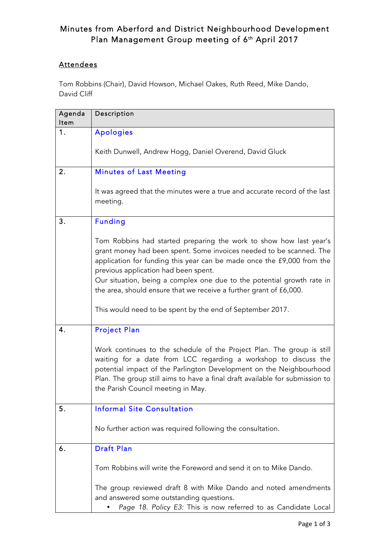## Minutes from Aberford and District Neighbourhood Development Plan Management Group meeting of 6th April 2017

## **Attendees**

Tom Robbins (Chair), David Howson, Michael Oakes, Ruth Reed, Mike Dando, David Cliff

| Agenda<br>Item | Description                                                                                                                                                                                                                                                                                                                                                                                                 |
|----------------|-------------------------------------------------------------------------------------------------------------------------------------------------------------------------------------------------------------------------------------------------------------------------------------------------------------------------------------------------------------------------------------------------------------|
| 1.             | <b>Apologies</b>                                                                                                                                                                                                                                                                                                                                                                                            |
|                | Keith Dunwell, Andrew Hogg, Daniel Overend, David Gluck                                                                                                                                                                                                                                                                                                                                                     |
| 2.             | <b>Minutes of Last Meeting</b>                                                                                                                                                                                                                                                                                                                                                                              |
|                | It was agreed that the minutes were a true and accurate record of the last<br>meeting.                                                                                                                                                                                                                                                                                                                      |
| 3.             | <b>Funding</b>                                                                                                                                                                                                                                                                                                                                                                                              |
|                | Tom Robbins had started preparing the work to show how last year's<br>grant money had been spent. Some invoices needed to be scanned. The<br>application for funding this year can be made once the £9,000 from the<br>previous application had been spent.<br>Our situation, being a complex one due to the potential growth rate in<br>the area, should ensure that we receive a further grant of £6,000. |
|                | This would need to be spent by the end of September 2017.                                                                                                                                                                                                                                                                                                                                                   |
| 4.             | <b>Project Plan</b>                                                                                                                                                                                                                                                                                                                                                                                         |
|                | Work continues to the schedule of the Project Plan. The group is still<br>waiting for a date from LCC regarding a workshop to discuss the<br>potential impact of the Parlington Development on the Neighbourhood<br>Plan. The group still aims to have a final draft available for submission to<br>the Parish Council meeting in May.                                                                      |
| 5.             | <b>Informal Site Consultation</b>                                                                                                                                                                                                                                                                                                                                                                           |
|                | No further action was required following the consultation.                                                                                                                                                                                                                                                                                                                                                  |
| 6.             | <b>Draft Plan</b>                                                                                                                                                                                                                                                                                                                                                                                           |
|                | Tom Robbins will write the Foreword and send it on to Mike Dando.                                                                                                                                                                                                                                                                                                                                           |
|                | The group reviewed draft 8 with Mike Dando and noted amendments<br>and answered some outstanding questions.<br>Page 18. Policy E3: This is now referred to as Candidate Local                                                                                                                                                                                                                               |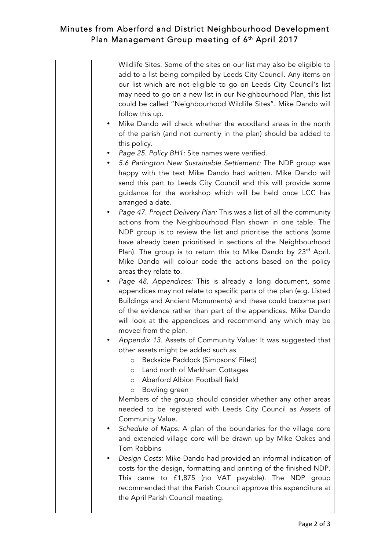## Minutes from Aberford and District Neighbourhood Development Plan Management Group meeting of 6th April 2017

| Wildlife Sites. Some of the sites on our list may also be eligible to<br>add to a list being compiled by Leeds City Council. Any items on<br>our list which are not eligible to go on Leeds City Council's list<br>may need to go on a new list in our Neighbourhood Plan, this list<br>could be called "Neighbourhood Wildlife Sites". Mike Dando will<br>follow this up.                                                                                                                                                                                                                                                                                                                                                                                                                                                                                                                                                                                                              |
|-----------------------------------------------------------------------------------------------------------------------------------------------------------------------------------------------------------------------------------------------------------------------------------------------------------------------------------------------------------------------------------------------------------------------------------------------------------------------------------------------------------------------------------------------------------------------------------------------------------------------------------------------------------------------------------------------------------------------------------------------------------------------------------------------------------------------------------------------------------------------------------------------------------------------------------------------------------------------------------------|
| Mike Dando will check whether the woodland areas in the north<br>٠<br>of the parish (and not currently in the plan) should be added to<br>this policy.                                                                                                                                                                                                                                                                                                                                                                                                                                                                                                                                                                                                                                                                                                                                                                                                                                  |
| Page 25. Policy BH1: Site names were verified.                                                                                                                                                                                                                                                                                                                                                                                                                                                                                                                                                                                                                                                                                                                                                                                                                                                                                                                                          |
| 5.6 Parlington New Sustainable Settlement: The NDP group was<br>$\bullet$<br>happy with the text Mike Dando had written. Mike Dando will<br>send this part to Leeds City Council and this will provide some<br>guidance for the workshop which will be held once LCC has<br>arranged a date.                                                                                                                                                                                                                                                                                                                                                                                                                                                                                                                                                                                                                                                                                            |
| Page 47. Project Delivery Plan: This was a list of all the community<br>actions from the Neighbourhood Plan shown in one table. The<br>NDP group is to review the list and prioritise the actions (some<br>have already been prioritised in sections of the Neighbourhood<br>Plan). The group is to return this to Mike Dando by 23rd April.<br>Mike Dando will colour code the actions based on the policy<br>areas they relate to.<br>Page 48. Appendices: This is already a long document, some<br>appendices may not relate to specific parts of the plan (e.g. Listed<br>Buildings and Ancient Monuments) and these could become part<br>of the evidence rather than part of the appendices. Mike Dando<br>will look at the appendices and recommend any which may be<br>moved from the plan.<br>Appendix 13. Assets of Community Value: It was suggested that<br>other assets might be added such as<br>Beckside Paddock (Simpsons' Filed)<br>O<br>Land north of Markham Cottages |
| $\circ$<br>Aberford Albion Football field<br>$\Omega$<br>Bowling green<br>$\circ$                                                                                                                                                                                                                                                                                                                                                                                                                                                                                                                                                                                                                                                                                                                                                                                                                                                                                                       |
| Members of the group should consider whether any other areas<br>needed to be registered with Leeds City Council as Assets of<br>Community Value.                                                                                                                                                                                                                                                                                                                                                                                                                                                                                                                                                                                                                                                                                                                                                                                                                                        |
| Schedule of Maps: A plan of the boundaries for the village core<br>and extended village core will be drawn up by Mike Oakes and<br>Tom Robbins                                                                                                                                                                                                                                                                                                                                                                                                                                                                                                                                                                                                                                                                                                                                                                                                                                          |
| Design Costs: Mike Dando had provided an informal indication of<br>costs for the design, formatting and printing of the finished NDP.<br>This came to £1,875 (no VAT payable). The NDP group<br>recommended that the Parish Council approve this expenditure at<br>the April Parish Council meeting.                                                                                                                                                                                                                                                                                                                                                                                                                                                                                                                                                                                                                                                                                    |
|                                                                                                                                                                                                                                                                                                                                                                                                                                                                                                                                                                                                                                                                                                                                                                                                                                                                                                                                                                                         |